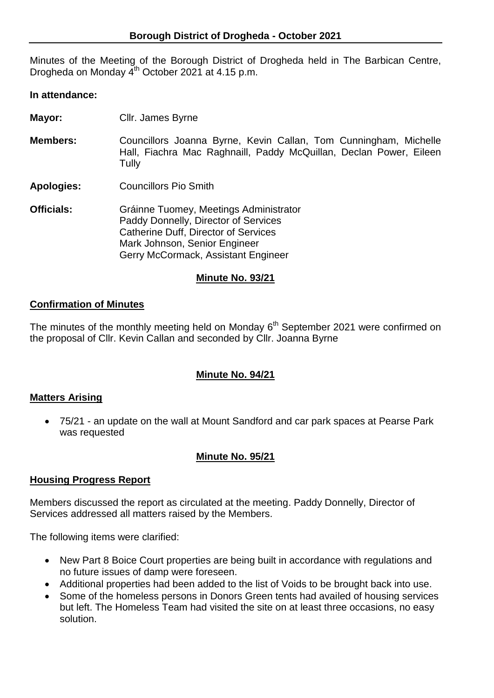Minutes of the Meeting of the Borough District of Drogheda held in The Barbican Centre, Drogheda on Monday 4<sup>th</sup> October 2021 at 4.15 p.m.

#### **In attendance:**

- **Mayor:** Cllr. James Byrne
- **Members:** Councillors Joanna Byrne, Kevin Callan, Tom Cunningham, Michelle Hall, Fiachra Mac Raghnaill, Paddy McQuillan, Declan Power, Eileen **Tully**
- **Apologies:** Councillors Pio Smith
- **Officials:** Gráinne Tuomey, Meetings Administrator Paddy Donnelly, Director of Services Catherine Duff, Director of Services Mark Johnson, Senior Engineer Gerry McCormack, Assistant Engineer

### **Minute No. 93/21**

## **Confirmation of Minutes**

The minutes of the monthly meeting held on Monday  $6<sup>th</sup>$  September 2021 were confirmed on the proposal of Cllr. Kevin Callan and seconded by Cllr. Joanna Byrne

## **Minute No. 94/21**

### **Matters Arising**

 75/21 - an update on the wall at Mount Sandford and car park spaces at Pearse Park was requested

### **Minute No. 95/21**

### **Housing Progress Report**

Members discussed the report as circulated at the meeting. Paddy Donnelly, Director of Services addressed all matters raised by the Members.

The following items were clarified:

- New Part 8 Boice Court properties are being built in accordance with regulations and no future issues of damp were foreseen.
- Additional properties had been added to the list of Voids to be brought back into use.
- Some of the homeless persons in Donors Green tents had availed of housing services but left. The Homeless Team had visited the site on at least three occasions, no easy solution.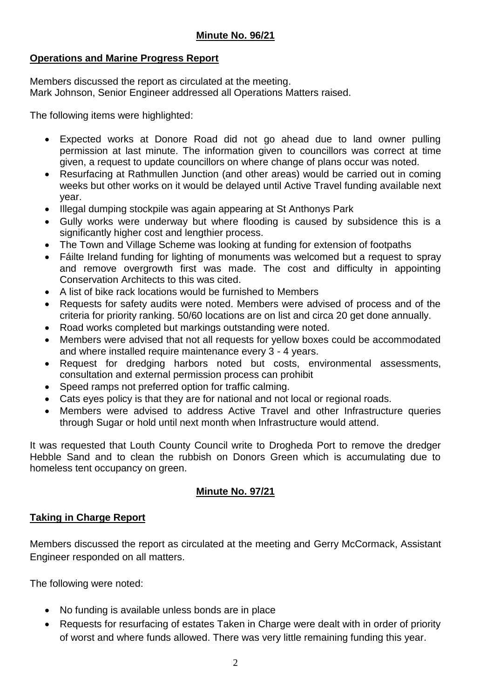## **Minute No. 96/21**

## **Operations and Marine Progress Report**

Members discussed the report as circulated at the meeting. Mark Johnson, Senior Engineer addressed all Operations Matters raised.

The following items were highlighted:

- Expected works at Donore Road did not go ahead due to land owner pulling permission at last minute. The information given to councillors was correct at time given, a request to update councillors on where change of plans occur was noted.
- Resurfacing at Rathmullen Junction (and other areas) would be carried out in coming weeks but other works on it would be delayed until Active Travel funding available next year.
- Illegal dumping stockpile was again appearing at St Anthonys Park
- Gully works were underway but where flooding is caused by subsidence this is a significantly higher cost and lengthier process.
- The Town and Village Scheme was looking at funding for extension of footpaths
- Fáilte Ireland funding for lighting of monuments was welcomed but a request to spray and remove overgrowth first was made. The cost and difficulty in appointing Conservation Architects to this was cited.
- A list of bike rack locations would be furnished to Members
- Requests for safety audits were noted. Members were advised of process and of the criteria for priority ranking. 50/60 locations are on list and circa 20 get done annually.
- Road works completed but markings outstanding were noted.
- Members were advised that not all requests for yellow boxes could be accommodated and where installed require maintenance every 3 - 4 years.
- Request for dredging harbors noted but costs, environmental assessments, consultation and external permission process can prohibit
- Speed ramps not preferred option for traffic calming.
- Cats eyes policy is that they are for national and not local or regional roads.
- Members were advised to address Active Travel and other Infrastructure queries through Sugar or hold until next month when Infrastructure would attend.

It was requested that Louth County Council write to Drogheda Port to remove the dredger Hebble Sand and to clean the rubbish on Donors Green which is accumulating due to homeless tent occupancy on green.

## **Minute No. 97/21**

### **Taking in Charge Report**

Members discussed the report as circulated at the meeting and Gerry McCormack, Assistant Engineer responded on all matters.

The following were noted:

- No funding is available unless bonds are in place
- Requests for resurfacing of estates Taken in Charge were dealt with in order of priority of worst and where funds allowed. There was very little remaining funding this year.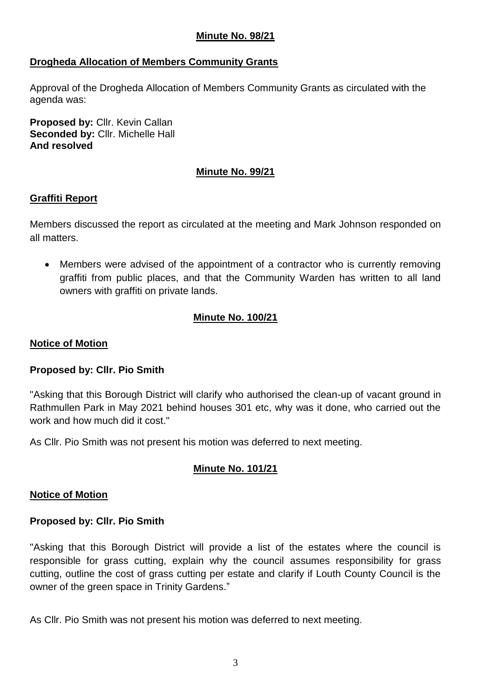## **Minute No. 98/21**

## **Drogheda Allocation of Members Community Grants**

Approval of the Drogheda Allocation of Members Community Grants as circulated with the agenda was:

**Proposed by:** Cllr. Kevin Callan **Seconded by:** Cllr. Michelle Hall **And resolved**

## **Minute No. 99/21**

### **Graffiti Report**

Members discussed the report as circulated at the meeting and Mark Johnson responded on all matters.

 Members were advised of the appointment of a contractor who is currently removing graffiti from public places, and that the Community Warden has written to all land owners with graffiti on private lands.

# **Minute No. 100/21**

### **Notice of Motion**

### **Proposed by: Cllr. Pio Smith**

"Asking that this Borough District will clarify who authorised the clean-up of vacant ground in Rathmullen Park in May 2021 behind houses 301 etc, why was it done, who carried out the work and how much did it cost."

As Cllr. Pio Smith was not present his motion was deferred to next meeting.

## **Minute No. 101/21**

### **Notice of Motion**

### **Proposed by: Cllr. Pio Smith**

"Asking that this Borough District will provide a list of the estates where the council is responsible for grass cutting, explain why the council assumes responsibility for grass cutting, outline the cost of grass cutting per estate and clarify if Louth County Council is the owner of the green space in Trinity Gardens."

As Cllr. Pio Smith was not present his motion was deferred to next meeting.